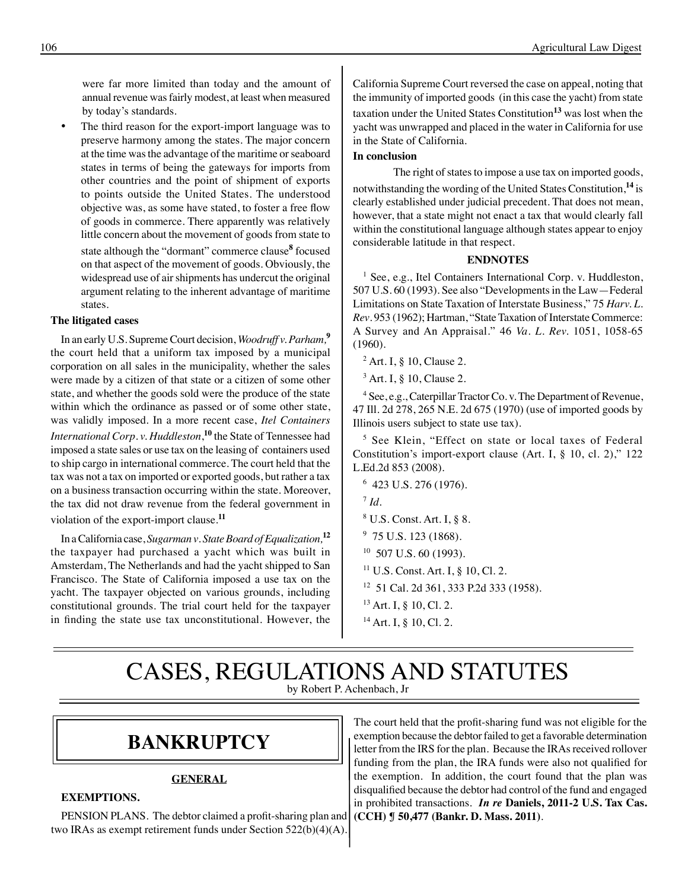were far more limited than today and the amount of annual revenue was fairly modest, at least when measured by today's standards.

The third reason for the export-import language was to preserve harmony among the states. The major concern at the time was the advantage of the maritime or seaboard states in terms of being the gateways for imports from other countries and the point of shipment of exports to points outside the United States. The understood objective was, as some have stated, to foster a free flow of goods in commerce. There apparently was relatively little concern about the movement of goods from state to state although the "dormant" commerce clause**<sup>8</sup>** focused on that aspect of the movement of goods. Obviously, the widespread use of air shipments has undercut the original argument relating to the inherent advantage of maritime states.

### **The litigated cases**

In an early U.S. Supreme Court decision, *Woodruff v. Parham,***<sup>9</sup>** the court held that a uniform tax imposed by a municipal corporation on all sales in the municipality, whether the sales were made by a citizen of that state or a citizen of some other state, and whether the goods sold were the produce of the state within which the ordinance as passed or of some other state, was validly imposed. In a more recent case, *Itel Containers International Corp. v. Huddleston*, **<sup>10</sup>** the State of Tennessee had imposed a state sales or use tax on the leasing of containers used to ship cargo in international commerce. The court held that the tax was not a tax on imported or exported goods, but rather a tax on a business transaction occurring within the state. Moreover, the tax did not draw revenue from the federal government in violation of the export-import clause.**<sup>11</sup>**

In a California case, *Sugarman v*. *State Board of Equalization,***<sup>12</sup>** the taxpayer had purchased a yacht which was built in Amsterdam, The Netherlands and had the yacht shipped to San Francisco. The State of California imposed a use tax on the yacht. The taxpayer objected on various grounds, including constitutional grounds. The trial court held for the taxpayer in finding the state use tax unconstitutional. However, the

California Supreme Court reversed the case on appeal, noting that the immunity of imported goods (in this case the yacht) from state taxation under the United States Constitution**<sup>13</sup>** was lost when the yacht was unwrapped and placed in the water in California for use in the State of California.

### **In conclusion**

The right of states to impose a use tax on imported goods, notwithstanding the wording of the United States Constitution,**<sup>14</sup>** is clearly established under judicial precedent. That does not mean, however, that a state might not enact a tax that would clearly fall within the constitutional language although states appear to enjoy considerable latitude in that respect.

#### **ENDNOTES**

<sup>1</sup> See, e.g., Itel Containers International Corp. v. Huddleston, 507 U.S. 60 (1993). See also "Developments in the Law—Federal Limitations on State Taxation of Interstate Business," 75 *Harv. L. Rev.* 953 (1962): Hartman, "State Taxation of Interstate Commerce: A Survey and An Appraisal." 46 *Va. L. Rev.* 1051, 1058-65 (1960).

<sup>2</sup> Art. I, § 10, Clause 2.

<sup>3</sup> Art. I, § 10, Clause 2.

<sup>4</sup> See, e.g., Caterpillar Tractor Co. v. The Department of Revenue, 47 Ill. 2d 278, 265 N.E. 2d 675 (1970) (use of imported goods by Illinois users subject to state use tax).

5 See Klein, "Effect on state or local taxes of Federal Constitution's import-export clause (Art. I, § 10, cl. 2)," 122 L.Ed.2d 853 (2008).

- <sup>8</sup> U.S. Const. Art. I, § 8.
- <sup>9</sup> 75 U.S. 123 (1868).
- $10$  507 U.S. 60 (1993).
- 11 U.S. Const. Art. I, § 10, Cl. 2.
- <sup>12</sup> 51 Cal. 2d 361, 333 P.2d 333 (1958).
- $13$  Art. I, § 10, Cl. 2.
- <sup>14</sup> Art. I, § 10, Cl. 2.

### CASES, REGULATIONS AND STATUTES by Robert P. Achenbach, Jr

### **bankruptcy**

### **GENERAL**

#### **EXEMPTIONS.**

PENSION PLANS.The debtor claimed a profit-sharing plan and two IRAs as exempt retirement funds under Section 522(b)(4)(A).

The court held that the profit-sharing fund was not eligible for the exemption because the debtor failed to get a favorable determination letter from the IRS for the plan. Because the IRAs received rollover funding from the plan, the IRA funds were also not qualified for the exemption. In addition, the court found that the plan was disqualified because the debtor had control of the fund and engaged in prohibited transactions. *In re* **Daniels, 2011-2 U.S. Tax Cas. (CCH) ¶ 50,477 (Bankr. D. Mass. 2011)**.

<sup>6</sup> 423 U.S. 276 (1976).

 $^7$  *Id*.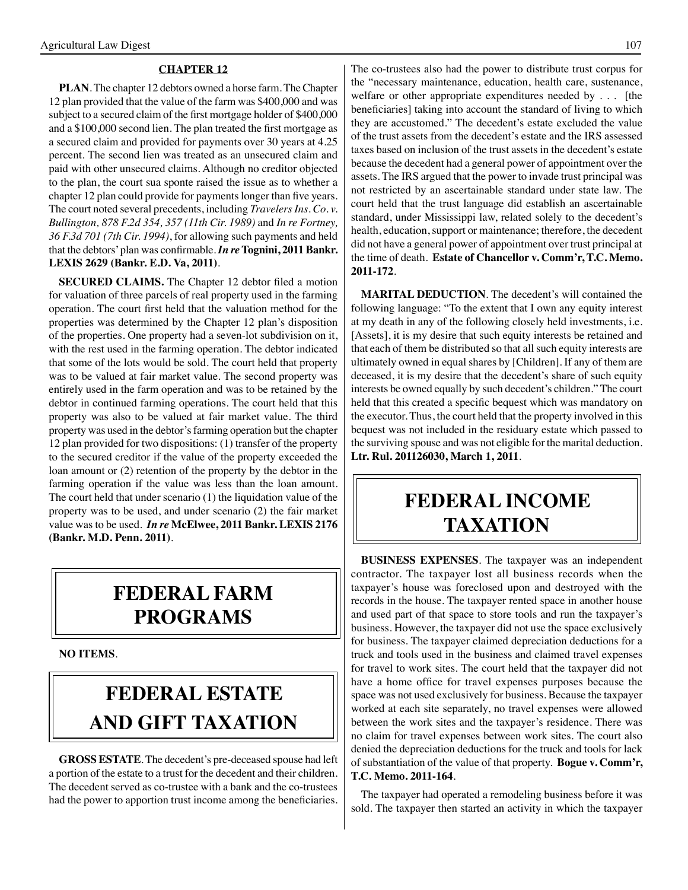#### **CHAPTER 12**

**PLAN**. The chapter 12 debtors owned a horse farm. The Chapter 12 plan provided that the value of the farm was \$400,000 and was subject to a secured claim of the first mortgage holder of \$400,000 and a \$100,000 second lien. The plan treated the first mortgage as a secured claim and provided for payments over 30 years at 4.25 percent. The second lien was treated as an unsecured claim and paid with other unsecured claims. Although no creditor objected to the plan, the court sua sponte raised the issue as to whether a chapter 12 plan could provide for payments longer than five years. The court noted several precedents, including *Travelers Ins. Co. v. Bullington, 878 F.2d 354, 357 (11th Cir. 1989)* and *In re Fortney, 36 F.3d 701 (7th Cir. 1994)*, for allowing such payments and held that the debtors'plan was confirmable.*In re* **Tognini, 2011 Bankr. LEXIS 2629 (Bankr. E.D. Va, 2011)**.

**SECURED CLAIMS.** The Chapter 12 debtor filed a motion for valuation of three parcels of real property used in the farming operation. The court first held that the valuation method for the properties was determined by the Chapter 12 plan's disposition of the properties. One property had a seven-lot subdivision on it, with the rest used in the farming operation. The debtor indicated that some of the lots would be sold. The court held that property was to be valued at fair market value. The second property was entirely used in the farm operation and was to be retained by the debtor in continued farming operations. The court held that this property was also to be valued at fair market value. The third property was used in the debtor's farming operation but the chapter 12 plan provided for two dispositions: (1) transfer of the property to the secured creditor if the value of the property exceeded the loan amount or (2) retention of the property by the debtor in the farming operation if the value was less than the loan amount. The court held that under scenario (1) the liquidation value of the property was to be used, and under scenario (2) the fair market value was to be used. *In re* **McElwee, 2011 Bankr. LEXIS 2176 (Bankr. M.D. Penn. 2011)**.

### **federal FARM PROGRAMS**

**NO ITEMS**.

## **FEDERAL ESTATE AND GIFT taxation**

**GROSS ESTATE**. The decedent's pre-deceased spouse had left a portion of the estate to a trust for the decedent and their children. The decedent served as co-trustee with a bank and the co-trustees had the power to apportion trust income among the beneficiaries. The co-trustees also had the power to distribute trust corpus for the "necessary maintenance, education, health care, sustenance, welfare or other appropriate expenditures needed by . . . [the beneficiaries] taking into account the standard of living to which they are accustomed." The decedent's estate excluded the value of the trust assets from the decedent's estate and the IRS assessed taxes based on inclusion of the trust assets in the decedent's estate because the decedent had a general power of appointment over the assets. The IRS argued that the power to invade trust principal was not restricted by an ascertainable standard under state law. The court held that the trust language did establish an ascertainable standard, under Mississippi law, related solely to the decedent's health, education, support or maintenance; therefore, the decedent did not have a general power of appointment over trust principal at the time of death. **Estate of Chancellor v. Comm'r, T.C. Memo. 2011-172**.

**MARITAL DEDUCTION**. The decedent's will contained the following language: "To the extent that I own any equity interest at my death in any of the following closely held investments, i.e. [Assets], it is my desire that such equity interests be retained and that each of them be distributed so that all such equity interests are ultimately owned in equal shares by [Children]. If any of them are deceased, it is my desire that the decedent's share of such equity interests be owned equally by such decedent's children." The court held that this created a specific bequest which was mandatory on the executor. Thus, the court held that the property involved in this bequest was not included in the residuary estate which passed to the surviving spouse and was not eligible for the marital deduction. **Ltr. Rul. 201126030, March 1, 2011**.

### **federal income taxation**

**BUSINESS EXPENSES**. The taxpayer was an independent contractor. The taxpayer lost all business records when the taxpayer's house was foreclosed upon and destroyed with the records in the house. The taxpayer rented space in another house and used part of that space to store tools and run the taxpayer's business. However, the taxpayer did not use the space exclusively for business. The taxpayer claimed depreciation deductions for a truck and tools used in the business and claimed travel expenses for travel to work sites. The court held that the taxpayer did not have a home office for travel expenses purposes because the space was not used exclusively for business. Because the taxpayer worked at each site separately, no travel expenses were allowed between the work sites and the taxpayer's residence. There was no claim for travel expenses between work sites. The court also denied the depreciation deductions for the truck and tools for lack of substantiation of the value of that property. **Bogue v. Comm'r, T.C. Memo. 2011-164**.

The taxpayer had operated a remodeling business before it was sold. The taxpayer then started an activity in which the taxpayer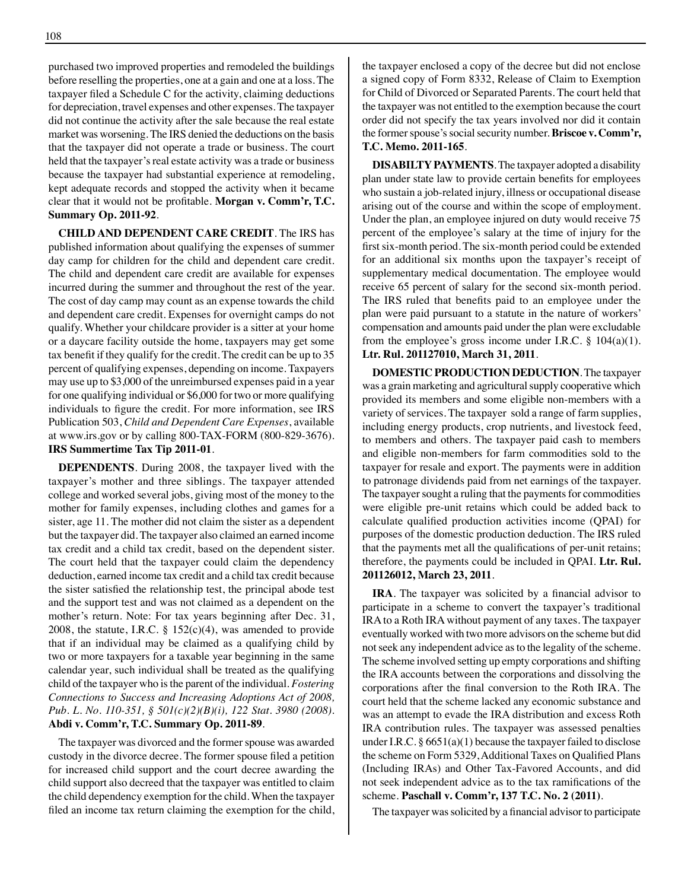purchased two improved properties and remodeled the buildings before reselling the properties, one at a gain and one at a loss. The taxpayer filed a Schedule C for the activity, claiming deductions for depreciation, travel expenses and other expenses. The taxpayer did not continue the activity after the sale because the real estate market was worsening. The IRS denied the deductions on the basis that the taxpayer did not operate a trade or business. The court held that the taxpayer's real estate activity was a trade or business because the taxpayer had substantial experience at remodeling, kept adequate records and stopped the activity when it became clear that it would not be profitable. **Morgan v. Comm'r, T.C. Summary Op. 2011-92**.

**CHILD AND DEPENDENT CARE CREDIT**. The IRS has published information about qualifying the expenses of summer day camp for children for the child and dependent care credit. The child and dependent care credit are available for expenses incurred during the summer and throughout the rest of the year. The cost of day camp may count as an expense towards the child and dependent care credit. Expenses for overnight camps do not qualify. Whether your childcare provider is a sitter at your home or a daycare facility outside the home, taxpayers may get some tax benefit if they qualify for the credit. The credit can be up to 35 percent of qualifying expenses, depending on income. Taxpayers may use up to \$3,000 of the unreimbursed expenses paid in a year for one qualifying individual or \$6,000 for two or more qualifying individuals to figure the credit. For more information, see IRS Publication 503, *Child and Dependent Care Expenses*, available at www.irs.gov or by calling 800-TAX-FORM (800-829-3676). **IRS Summertime Tax Tip 2011-01**.

**DEPENDENTS**. During 2008, the taxpayer lived with the taxpayer's mother and three siblings. The taxpayer attended college and worked several jobs, giving most of the money to the mother for family expenses, including clothes and games for a sister, age 11. The mother did not claim the sister as a dependent but the taxpayer did. The taxpayer also claimed an earned income tax credit and a child tax credit, based on the dependent sister. The court held that the taxpayer could claim the dependency deduction, earned income tax credit and a child tax credit because the sister satisfied the relationship test, the principal abode test and the support test and was not claimed as a dependent on the mother's return. Note: For tax years beginning after Dec. 31, 2008, the statute, I.R.C. §  $152(c)(4)$ , was amended to provide that if an individual may be claimed as a qualifying child by two or more taxpayers for a taxable year beginning in the same calendar year, such individual shall be treated as the qualifying child of the taxpayer who is the parent of the individual. *Fostering Connections to Success and Increasing Adoptions Act of 2008, Pub. L. No. 110-351, § 501(c)(2)(B)(i), 122 Stat. 3980 (2008)*. **Abdi v. Comm'r, T.C. Summary Op. 2011-89**.

The taxpayer was divorced and the former spouse was awarded custody in the divorce decree. The former spouse filed a petition for increased child support and the court decree awarding the child support also decreed that the taxpayer was entitled to claim the child dependency exemption for the child. When the taxpayer filed an income tax return claiming the exemption for the child, the taxpayer enclosed a copy of the decree but did not enclose a signed copy of Form 8332, Release of Claim to Exemption for Child of Divorced or Separated Parents. The court held that the taxpayer was not entitled to the exemption because the court order did not specify the tax years involved nor did it contain the former spouse's social security number. **Briscoe v. Comm'r, T.C. Memo. 2011-165**.

**DISABILTY PAYMENTS**. The taxpayer adopted a disability plan under state law to provide certain benefits for employees who sustain a job-related injury, illness or occupational disease arising out of the course and within the scope of employment. Under the plan, an employee injured on duty would receive 75 percent of the employee's salary at the time of injury for the first six-month period. The six-month period could be extended for an additional six months upon the taxpayer's receipt of supplementary medical documentation. The employee would receive 65 percent of salary for the second six-month period. The IRS ruled that benefits paid to an employee under the plan were paid pursuant to a statute in the nature of workers' compensation and amounts paid under the plan were excludable from the employee's gross income under I.R.C.  $\S$  104(a)(1). **Ltr. Rul. 201127010, March 31, 2011**.

**DOMESTIC PRODUCTION DEDUCTION**. The taxpayer was a grain marketing and agricultural supply cooperative which provided its members and some eligible non-members with a variety of services. The taxpayer sold a range of farm supplies, including energy products, crop nutrients, and livestock feed, to members and others. The taxpayer paid cash to members and eligible non-members for farm commodities sold to the taxpayer for resale and export. The payments were in addition to patronage dividends paid from net earnings of the taxpayer. The taxpayer sought a ruling that the payments for commodities were eligible pre-unit retains which could be added back to calculate qualified production activities income (QPAI) for purposes of the domestic production deduction. The IRS ruled that the payments met all the qualifications of per-unit retains; therefore, the payments could be included in QPAI. **Ltr. Rul. 201126012, March 23, 2011**.

**IRA**. The taxpayer was solicited by a financial advisor to participate in a scheme to convert the taxpayer's traditional IRA to a Roth IRA without payment of any taxes. The taxpayer eventually worked with two more advisors on the scheme but did not seek any independent advice as to the legality of the scheme. The scheme involved setting up empty corporations and shifting the IRA accounts between the corporations and dissolving the corporations after the final conversion to the Roth IRA. The court held that the scheme lacked any economic substance and was an attempt to evade the IRA distribution and excess Roth IRA contribution rules. The taxpayer was assessed penalties under I.R.C. § 6651(a)(1) because the taxpayer failed to disclose the scheme on Form 5329,Additional Taxes on Qualified Plans (Including IRAs) and Other Tax-Favored Accounts, and did not seek independent advice as to the tax ramifications of the scheme. **Paschall v. Comm'r, 137 T.C. No. 2 (2011)**.

The taxpayer was solicited by a financial advisor to participate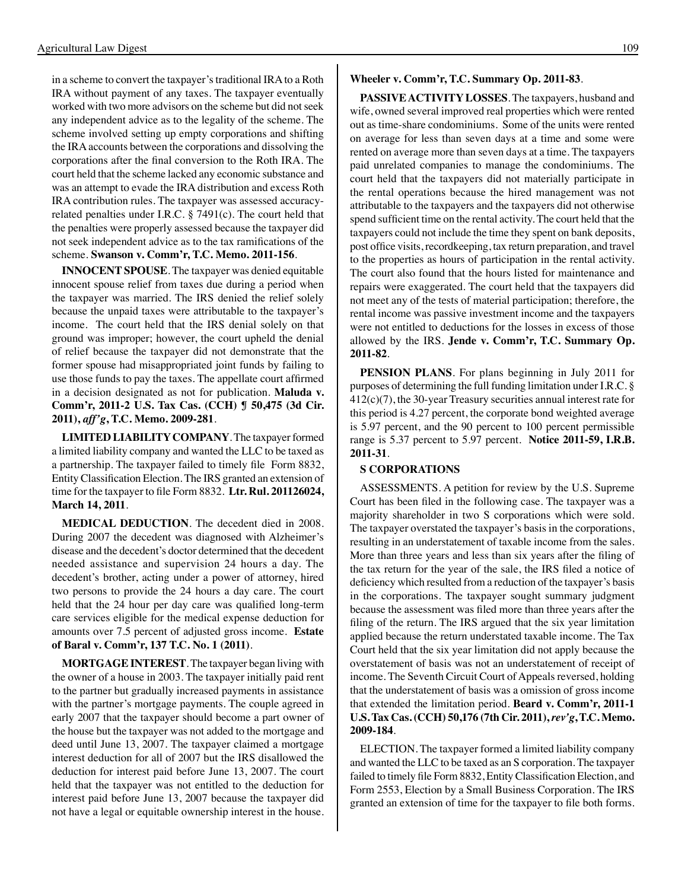in a scheme to convert the taxpayer's traditional IRA to a Roth IRA without payment of any taxes. The taxpayer eventually worked with two more advisors on the scheme but did not seek any independent advice as to the legality of the scheme. The scheme involved setting up empty corporations and shifting the IRA accounts between the corporations and dissolving the corporations after the final conversion to the Roth IRA. The court held that the scheme lacked any economic substance and was an attempt to evade the IRA distribution and excess Roth IRA contribution rules. The taxpayer was assessed accuracyrelated penalties under I.R.C. § 7491(c). The court held that the penalties were properly assessed because the taxpayer did not seek independent advice as to the tax ramifications of the scheme. **Swanson v. Comm'r, T.C. Memo. 2011-156**.

**INNOCENT SPOUSE**. The taxpayer was denied equitable innocent spouse relief from taxes due during a period when the taxpayer was married. The IRS denied the relief solely because the unpaid taxes were attributable to the taxpayer's income. The court held that the IRS denial solely on that ground was improper; however, the court upheld the denial of relief because the taxpayer did not demonstrate that the former spouse had misappropriated joint funds by failing to use those funds to pay the taxes. The appellate court affirmed in a decision designated as not for publication. **Maluda v. Comm'r, 2011-2 U.S. Tax Cas. (CCH) ¶ 50,475 (3d Cir. 2011),** *aff'g***, T.C. Memo. 2009-281**.

**LIMITED LIABILITY COMPANY**. The taxpayer formed a limited liability company and wanted the LLC to be taxed as a partnership. The taxpayer failed to timely file Form 8832, Entity Classification Election. The IRS granted an extension of time for the taxpayer to file Form 8832. **Ltr. Rul. 201126024, March 14, 2011**.

**MEDICAL DEDUCTION**. The decedent died in 2008. During 2007 the decedent was diagnosed with Alzheimer's disease and the decedent's doctor determined that the decedent needed assistance and supervision 24 hours a day. The decedent's brother, acting under a power of attorney, hired two persons to provide the 24 hours a day care. The court held that the 24 hour per day care was qualified long-term care services eligible for the medical expense deduction for amounts over 7.5 percent of adjusted gross income. **Estate of Baral v. Comm'r, 137 T.C. No. 1 (2011)**.

**MORTGAGE INTEREST**. The taxpayer began living with the owner of a house in 2003. The taxpayer initially paid rent to the partner but gradually increased payments in assistance with the partner's mortgage payments. The couple agreed in early 2007 that the taxpayer should become a part owner of the house but the taxpayer was not added to the mortgage and deed until June 13, 2007. The taxpayer claimed a mortgage interest deduction for all of 2007 but the IRS disallowed the deduction for interest paid before June 13, 2007. The court held that the taxpayer was not entitled to the deduction for interest paid before June 13, 2007 because the taxpayer did not have a legal or equitable ownership interest in the house.

#### **Wheeler v. Comm'r, T.C. Summary Op. 2011-83**.

**PASSIVE ACTIVITY LOSSES**. The taxpayers, husband and wife, owned several improved real properties which were rented out as time-share condominiums. Some of the units were rented on average for less than seven days at a time and some were rented on average more than seven days at a time. The taxpayers paid unrelated companies to manage the condominiums. The court held that the taxpayers did not materially participate in the rental operations because the hired management was not attributable to the taxpayers and the taxpayers did not otherwise spend sufficient time on the rental activity. The court held that the taxpayers could not include the time they spent on bank deposits, post office visits, recordkeeping, tax return preparation, and travel to the properties as hours of participation in the rental activity. The court also found that the hours listed for maintenance and repairs were exaggerated. The court held that the taxpayers did not meet any of the tests of material participation; therefore, the rental income was passive investment income and the taxpayers were not entitled to deductions for the losses in excess of those allowed by the IRS. **Jende v. Comm'r, T.C. Summary Op. 2011-82**.

**PENSION PLANS**. For plans beginning in July 2011 for purposes of determining the full funding limitation under I.R.C. § 412(c)(7), the 30-year Treasury securities annual interest rate for this period is 4.27 percent, the corporate bond weighted average is 5.97 percent, and the 90 percent to 100 percent permissible range is 5.37 percent to 5.97 percent. **Notice 2011-59, I.R.B. 2011-31**.

#### **S CORPORATIONS**

ASSESSMENTS. A petition for review by the U.S. Supreme Court has been filed in the following case. The taxpayer was a majority shareholder in two S corporations which were sold. The taxpayer overstated the taxpayer's basis in the corporations, resulting in an understatement of taxable income from the sales. More than three years and less than six years after the filing of the tax return for the year of the sale, the IRS filed a notice of deficiency which resulted from a reduction of the taxpayer's basis in the corporations. The taxpayer sought summary judgment because the assessment was filed more than three years after the filing of the return. The IRS argued that the six year limitation applied because the return understated taxable income. The Tax Court held that the six year limitation did not apply because the overstatement of basis was not an understatement of receipt of income. The Seventh Circuit Court of Appeals reversed, holding that the understatement of basis was a omission of gross income that extended the limitation period. **Beard v. Comm'r, 2011-1 U.S. Tax Cas. (CCH) 50,176 (7th Cir. 2011),** *rev'g***, T.C. Memo. 2009-184**.

ELECTION. The taxpayer formed a limited liability company and wanted the LLC to be taxed as an S corporation. The taxpayer failed to timely file Form 8832, Entity Classification Election, and Form 2553, Election by a Small Business Corporation. The IRS granted an extension of time for the taxpayer to file both forms.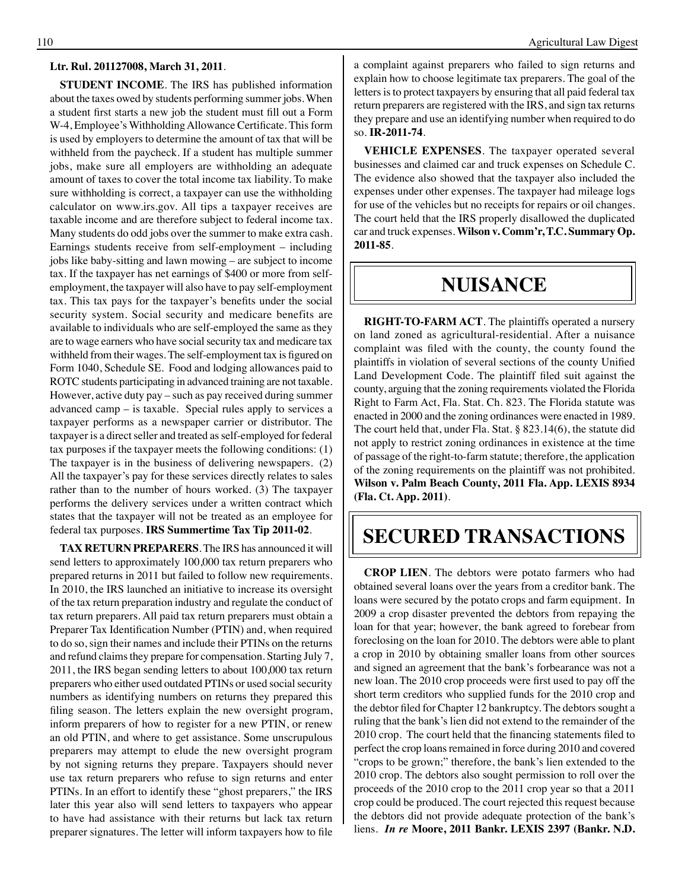#### **Ltr. Rul. 201127008, March 31, 2011**.

**STUDENT INCOME**. The IRS has published information about the taxes owed by students performing summer jobs. When a student first starts a new job the student must fill out a Form W-4, Employee's Withholding Allowance Certificate. This form is used by employers to determine the amount of tax that will be withheld from the paycheck. If a student has multiple summer jobs, make sure all employers are withholding an adequate amount of taxes to cover the total income tax liability. To make sure withholding is correct, a taxpayer can use the withholding calculator on www.irs.gov. All tips a taxpayer receives are taxable income and are therefore subject to federal income tax. Many students do odd jobs over the summer to make extra cash. Earnings students receive from self-employment – including jobs like baby-sitting and lawn mowing – are subject to income tax. If the taxpayer has net earnings of \$400 or more from selfemployment, the taxpayer will also have to pay self-employment tax. This tax pays for the taxpayer's benefits under the social security system. Social security and medicare benefits are available to individuals who are self-employed the same as they are to wage earners who have social security tax and medicare tax withheld from their wages.The self-employment tax is figured on Form 1040, Schedule SE. Food and lodging allowances paid to ROTC students participating in advanced training are not taxable. However, active duty pay – such as pay received during summer advanced camp – is taxable. Special rules apply to services a taxpayer performs as a newspaper carrier or distributor. The taxpayer is a direct seller and treated as self-employed for federal tax purposes if the taxpayer meets the following conditions: (1) The taxpayer is in the business of delivering newspapers. (2) All the taxpayer's pay for these services directly relates to sales rather than to the number of hours worked. (3) The taxpayer performs the delivery services under a written contract which states that the taxpayer will not be treated as an employee for federal tax purposes. **IRS Summertime Tax Tip 2011-02**.

**TAX RETURN PREPARERS**. The IRS has announced it will send letters to approximately 100,000 tax return preparers who prepared returns in 2011 but failed to follow new requirements. In 2010, the IRS launched an initiative to increase its oversight of the tax return preparation industry and regulate the conduct of tax return preparers. All paid tax return preparers must obtain a Preparer Tax Identification Number (PTIN) and, when required to do so, sign their names and include their PTINs on the returns and refund claims they prepare for compensation. Starting July 7, 2011, the IRS began sending letters to about 100,000 tax return preparers who either used outdated PTINs or used social security numbers as identifying numbers on returns they prepared this filing season. The letters explain the new oversight program, inform preparers of how to register for a new PTIN, or renew an old PTIN, and where to get assistance. Some unscrupulous preparers may attempt to elude the new oversight program by not signing returns they prepare. Taxpayers should never use tax return preparers who refuse to sign returns and enter PTINs. In an effort to identify these "ghost preparers," the IRS later this year also will send letters to taxpayers who appear to have had assistance with their returns but lack tax return preparer signatures. The letter will inform taxpayers how to file

a complaint against preparers who failed to sign returns and explain how to choose legitimate tax preparers. The goal of the letters is to protect taxpayers by ensuring that all paid federal tax return preparers are registered with the IRS, and sign tax returns they prepare and use an identifying number when required to do so. **IR-2011-74**.

**VEHICLE EXPENSES**. The taxpayer operated several businesses and claimed car and truck expenses on Schedule C. The evidence also showed that the taxpayer also included the expenses under other expenses. The taxpayer had mileage logs for use of the vehicles but no receipts for repairs or oil changes. The court held that the IRS properly disallowed the duplicated car and truck expenses. **Wilson v. Comm'r, T.C. Summary Op. 2011-85**.

### **nuisance**

 **RIGHT-TO-FARM ACT**. The plaintiffs operated a nursery on land zoned as agricultural-residential. After a nuisance complaint was filed with the county, the county found the plaintiffs in violation of several sections of the county Unified Land Development Code. The plaintiff filed suit against the county, arguing that the zoning requirements violated the Florida Right to Farm Act, Fla. Stat. Ch. 823. The Florida statute was enacted in 2000 and the zoning ordinances were enacted in 1989. The court held that, under Fla. Stat. § 823.14(6), the statute did not apply to restrict zoning ordinances in existence at the time of passage of the right-to-farm statute; therefore, the application of the zoning requirements on the plaintiff was not prohibited. **Wilson v. Palm Beach County, 2011 Fla. App. LEXIS 8934 (Fla. Ct. App. 2011)**.

### **SECURED TRANSACTIONS**

**CROP LIEN**. The debtors were potato farmers who had obtained several loans over the years from a creditor bank. The loans were secured by the potato crops and farm equipment. In 2009 a crop disaster prevented the debtors from repaying the loan for that year; however, the bank agreed to forebear from foreclosing on the loan for 2010. The debtors were able to plant a crop in 2010 by obtaining smaller loans from other sources and signed an agreement that the bank's forbearance was not a new loan. The 2010 crop proceeds were first used to pay off the short term creditors who supplied funds for the 2010 crop and the debtor filed for Chapter 12 bankruptcy. The debtors sought a ruling that the bank's lien did not extend to the remainder of the 2010 crop. The court held that the financing statements filed to perfect the crop loans remained in force during 2010 and covered "crops to be grown;" therefore, the bank's lien extended to the 2010 crop. The debtors also sought permission to roll over the proceeds of the 2010 crop to the 2011 crop year so that a 2011 crop could be produced. The court rejected this request because the debtors did not provide adequate protection of the bank's liens. *In re* **Moore, 2011 Bankr. LEXIS 2397 (Bankr. N.D.**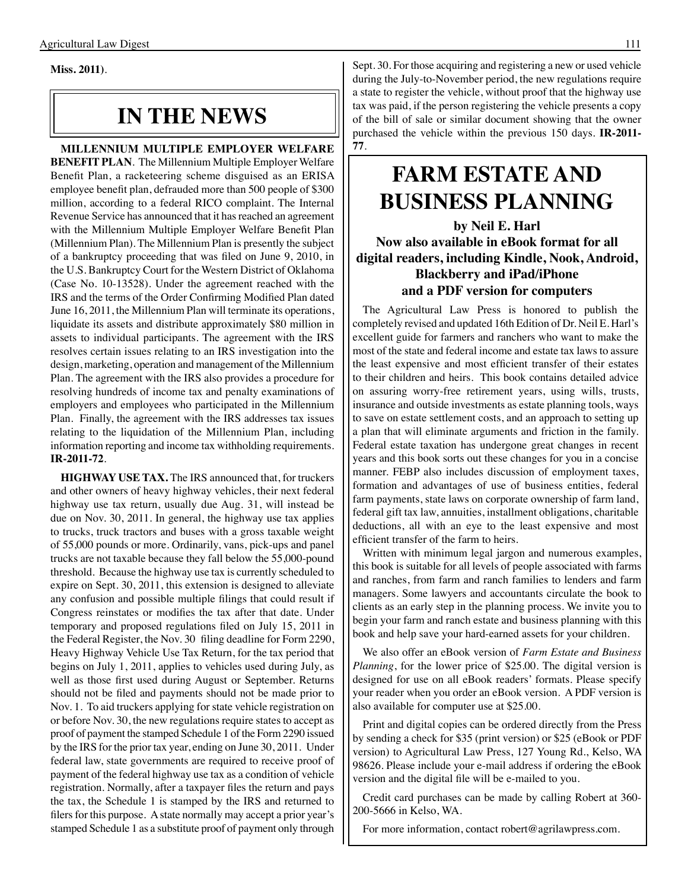**Miss. 2011)**.

# **IN THE NEWS**

**MILLENNIUM MULTIPLE EMPLOYER WELFARE BENEFIT PLAN**. The Millennium Multiple Employer Welfare Benefit Plan, a racketeering scheme disguised as an ERISA employee benefit plan, defrauded more than 500 people of \$300 million, according to a federal RICO complaint. The Internal Revenue Service has announced that it has reached an agreement with the Millennium Multiple Employer Welfare Benefit Plan (Millennium Plan). The Millennium Plan is presently the subject of a bankruptcy proceeding that was filed on June 9, 2010, in the U.S. Bankruptcy Court for the Western District of Oklahoma (Case No. 10-13528). Under the agreement reached with the IRS and the terms of the Order Confirming Modified Plan dated June 16, 2011, the Millennium Plan will terminate its operations, liquidate its assets and distribute approximately \$80 million in assets to individual participants. The agreement with the IRS resolves certain issues relating to an IRS investigation into the design, marketing, operation and management of the Millennium Plan. The agreement with the IRS also provides a procedure for resolving hundreds of income tax and penalty examinations of employers and employees who participated in the Millennium Plan. Finally, the agreement with the IRS addresses tax issues relating to the liquidation of the Millennium Plan, including information reporting and income tax withholding requirements. **IR-2011-72**.

**HIGHWAY USE TAX.** The IRS announced that, for truckers and other owners of heavy highway vehicles, their next federal highway use tax return, usually due Aug. 31, will instead be due on Nov. 30, 2011. In general, the highway use tax applies to trucks, truck tractors and buses with a gross taxable weight of 55,000 pounds or more. Ordinarily, vans, pick-ups and panel trucks are not taxable because they fall below the 55,000-pound threshold. Because the highway use tax is currently scheduled to expire on Sept. 30, 2011, this extension is designed to alleviate any confusion and possible multiple filings that could result if Congress reinstates or modifies the tax after that date. Under temporary and proposed regulations filed on July 15, 2011 in the Federal Register, the Nov. 30 filing deadline for Form 2290, Heavy Highway Vehicle Use Tax Return, for the tax period that begins on July 1, 2011, applies to vehicles used during July, as well as those first used during August or September. Returns should not be filed and payments should not be made prior to Nov. 1. To aid truckers applying for state vehicle registration on or before Nov. 30, the new regulations require states to accept as proof of payment the stamped Schedule 1 of the Form 2290 issued by the IRS for the prior tax year, ending on June 30, 2011. Under federal law, state governments are required to receive proof of payment of the federal highway use tax as a condition of vehicle registration. Normally, after a taxpayer files the return and pays the tax, the Schedule 1 is stamped by the IRS and returned to filers for this purpose. A state normally may accept a prior year's stamped Schedule 1 as a substitute proof of payment only through

Sept. 30. For those acquiring and registering a new or used vehicle during the July-to-November period, the new regulations require a state to register the vehicle, without proof that the highway use tax was paid, if the person registering the vehicle presents a copy of the bill of sale or similar document showing that the owner purchased the vehicle within the previous 150 days. **IR-2011- 77**.

# **FARM ESTATE AND BUSINESS PLANNING**

### **by Neil E. Harl Now also available in eBook format for all digital readers, including Kindle, Nook, Android, Blackberry and iPad/iPhone and a PDF version for computers**

The Agricultural Law Press is honored to publish the completely revised and updated 16th Edition of Dr. Neil E. Harl's excellent guide for farmers and ranchers who want to make the most of the state and federal income and estate tax laws to assure the least expensive and most efficient transfer of their estates to their children and heirs. This book contains detailed advice on assuring worry-free retirement years, using wills, trusts, insurance and outside investments as estate planning tools, ways to save on estate settlement costs, and an approach to setting up a plan that will eliminate arguments and friction in the family. Federal estate taxation has undergone great changes in recent years and this book sorts out these changes for you in a concise manner. FEBP also includes discussion of employment taxes, formation and advantages of use of business entities, federal farm payments, state laws on corporate ownership of farm land, federal gift tax law, annuities, installment obligations, charitable deductions, all with an eye to the least expensive and most efficient transfer of the farm to heirs.

Written with minimum legal jargon and numerous examples, this book is suitable for all levels of people associated with farms and ranches, from farm and ranch families to lenders and farm managers. Some lawyers and accountants circulate the book to clients as an early step in the planning process. We invite you to begin your farm and ranch estate and business planning with this book and help save your hard-earned assets for your children.

We also offer an eBook version of *Farm Estate and Business Planning*, for the lower price of \$25.00. The digital version is designed for use on all eBook readers' formats. Please specify your reader when you order an eBook version. A PDF version is also available for computer use at \$25.00.

Print and digital copies can be ordered directly from the Press by sending a check for \$35 (print version) or \$25 (eBook or PDF version) to Agricultural Law Press, 127 Young Rd., Kelso, WA 98626. Please include your e-mail address if ordering the eBook version and the digital file will be e-mailed to you.

 Credit card purchases can be made by calling Robert at 360- 200-5666 in Kelso, WA.

For more information, contact robert@agrilawpress.com.